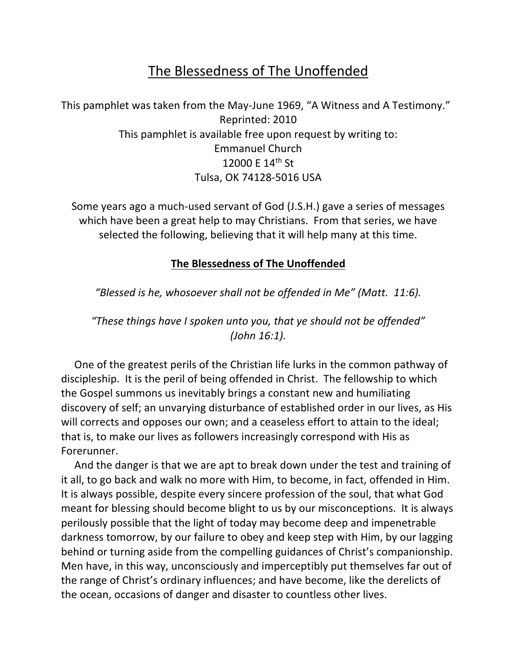## The Blessedness of The Unoffended

This pamphlet was taken from the May-June 1969, "A Witness and A Testimony." Reprinted: 2010 This pamphlet is available free upon request by writing to: Emmanuel Church 12000 E 14th St Tulsa, OK 74128-5016 USA

Some years ago a much-used servant of God (J.S.H.) gave a series of messages which have been a great help to may Christians. From that series, we have selected the following, believing that it will help many at this time.

## **The Blessedness of The Unoffended**

*"Blessed is he, whosoever shall not be offended in Me" (Matt. 11:6).*

*"These things have I spoken unto you, that ye should not be offended" (John 16:1).*

 One of the greatest perils of the Christian life lurks in the common pathway of discipleship. It is the peril of being offended in Christ. The fellowship to which the Gospel summons us inevitably brings a constant new and humiliating discovery of self; an unvarying disturbance of established order in our lives, as His will corrects and opposes our own; and a ceaseless effort to attain to the ideal; that is, to make our lives as followers increasingly correspond with His as Forerunner.

 And the danger is that we are apt to break down under the test and training of it all, to go back and walk no more with Him, to become, in fact, offended in Him. It is always possible, despite every sincere profession of the soul, that what God meant for blessing should become blight to us by our misconceptions. It is always perilously possible that the light of today may become deep and impenetrable darkness tomorrow, by our failure to obey and keep step with Him, by our lagging behind or turning aside from the compelling guidances of Christ's companionship. Men have, in this way, unconsciously and imperceptibly put themselves far out of the range of Christ's ordinary influences; and have become, like the derelicts of the ocean, occasions of danger and disaster to countless other lives.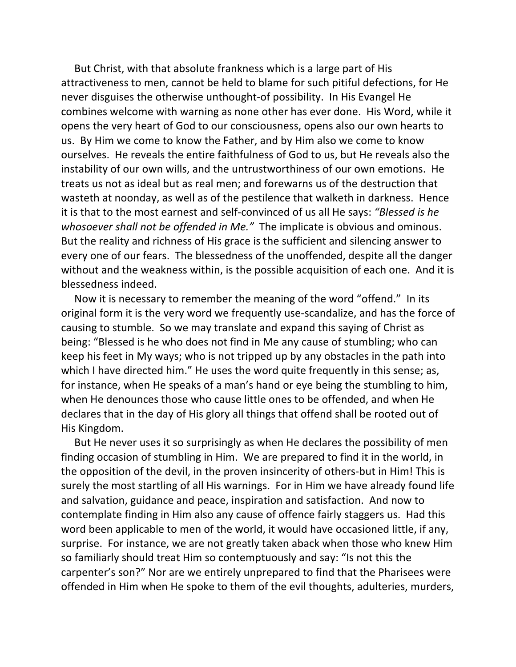But Christ, with that absolute frankness which is a large part of His attractiveness to men, cannot be held to blame for such pitiful defections, for He never disguises the otherwise unthought-of possibility. In His Evangel He combines welcome with warning as none other has ever done. His Word, while it opens the very heart of God to our consciousness, opens also our own hearts to us. By Him we come to know the Father, and by Him also we come to know ourselves. He reveals the entire faithfulness of God to us, but He reveals also the instability of our own wills, and the untrustworthiness of our own emotions. He treats us not as ideal but as real men; and forewarns us of the destruction that wasteth at noonday, as well as of the pestilence that walketh in darkness. Hence it is that to the most earnest and self-convinced of us all He says: *"Blessed is he whosoever shall not be offended in Me."* The implicate is obvious and ominous. But the reality and richness of His grace is the sufficient and silencing answer to every one of our fears. The blessedness of the unoffended, despite all the danger without and the weakness within, is the possible acquisition of each one. And it is blessedness indeed.

 Now it is necessary to remember the meaning of the word "offend." In its original form it is the very word we frequently use-scandalize, and has the force of causing to stumble. So we may translate and expand this saying of Christ as being: "Blessed is he who does not find in Me any cause of stumbling; who can keep his feet in My ways; who is not tripped up by any obstacles in the path into which I have directed him." He uses the word quite frequently in this sense; as, for instance, when He speaks of a man's hand or eye being the stumbling to him, when He denounces those who cause little ones to be offended, and when He declares that in the day of His glory all things that offend shall be rooted out of His Kingdom.

 But He never uses it so surprisingly as when He declares the possibility of men finding occasion of stumbling in Him. We are prepared to find it in the world, in the opposition of the devil, in the proven insincerity of others-but in Him! This is surely the most startling of all His warnings. For in Him we have already found life and salvation, guidance and peace, inspiration and satisfaction. And now to contemplate finding in Him also any cause of offence fairly staggers us. Had this word been applicable to men of the world, it would have occasioned little, if any, surprise. For instance, we are not greatly taken aback when those who knew Him so familiarly should treat Him so contemptuously and say: "Is not this the carpenter's son?" Nor are we entirely unprepared to find that the Pharisees were offended in Him when He spoke to them of the evil thoughts, adulteries, murders,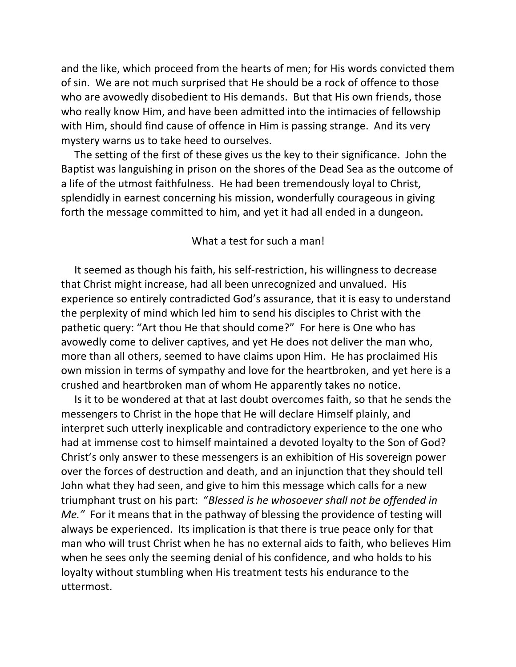and the like, which proceed from the hearts of men; for His words convicted them of sin. We are not much surprised that He should be a rock of offence to those who are avowedly disobedient to His demands. But that His own friends, those who really know Him, and have been admitted into the intimacies of fellowship with Him, should find cause of offence in Him is passing strange. And its very mystery warns us to take heed to ourselves.

 The setting of the first of these gives us the key to their significance. John the Baptist was languishing in prison on the shores of the Dead Sea as the outcome of a life of the utmost faithfulness. He had been tremendously loyal to Christ, splendidly in earnest concerning his mission, wonderfully courageous in giving forth the message committed to him, and yet it had all ended in a dungeon.

## What a test for such a man!

 It seemed as though his faith, his self-restriction, his willingness to decrease that Christ might increase, had all been unrecognized and unvalued. His experience so entirely contradicted God's assurance, that it is easy to understand the perplexity of mind which led him to send his disciples to Christ with the pathetic query: "Art thou He that should come?" For here is One who has avowedly come to deliver captives, and yet He does not deliver the man who, more than all others, seemed to have claims upon Him. He has proclaimed His own mission in terms of sympathy and love for the heartbroken, and yet here is a crushed and heartbroken man of whom He apparently takes no notice.

 Is it to be wondered at that at last doubt overcomes faith, so that he sends the messengers to Christ in the hope that He will declare Himself plainly, and interpret such utterly inexplicable and contradictory experience to the one who had at immense cost to himself maintained a devoted loyalty to the Son of God? Christ's only answer to these messengers is an exhibition of His sovereign power over the forces of destruction and death, and an injunction that they should tell John what they had seen, and give to him this message which calls for a new triumphant trust on his part: "*Blessed is he whosoever shall not be offended in Me."* For it means that in the pathway of blessing the providence of testing will always be experienced. Its implication is that there is true peace only for that man who will trust Christ when he has no external aids to faith, who believes Him when he sees only the seeming denial of his confidence, and who holds to his loyalty without stumbling when His treatment tests his endurance to the uttermost.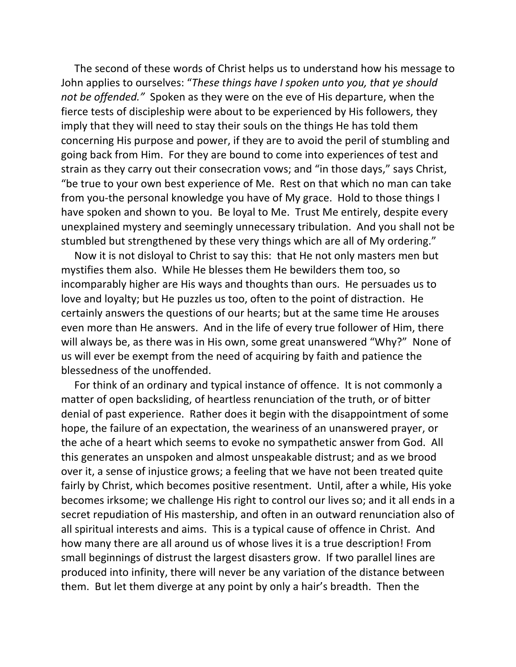The second of these words of Christ helps us to understand how his message to John applies to ourselves: "*These things have I spoken unto you, that ye should not be offended."* Spoken as they were on the eve of His departure, when the fierce tests of discipleship were about to be experienced by His followers, they imply that they will need to stay their souls on the things He has told them concerning His purpose and power, if they are to avoid the peril of stumbling and going back from Him. For they are bound to come into experiences of test and strain as they carry out their consecration vows; and "in those days," says Christ, "be true to your own best experience of Me. Rest on that which no man can take from you-the personal knowledge you have of My grace. Hold to those things I have spoken and shown to you. Be loyal to Me. Trust Me entirely, despite every unexplained mystery and seemingly unnecessary tribulation. And you shall not be stumbled but strengthened by these very things which are all of My ordering."

 Now it is not disloyal to Christ to say this: that He not only masters men but mystifies them also. While He blesses them He bewilders them too, so incomparably higher are His ways and thoughts than ours. He persuades us to love and loyalty; but He puzzles us too, often to the point of distraction. He certainly answers the questions of our hearts; but at the same time He arouses even more than He answers. And in the life of every true follower of Him, there will always be, as there was in His own, some great unanswered "Why?" None of us will ever be exempt from the need of acquiring by faith and patience the blessedness of the unoffended.

 For think of an ordinary and typical instance of offence. It is not commonly a matter of open backsliding, of heartless renunciation of the truth, or of bitter denial of past experience. Rather does it begin with the disappointment of some hope, the failure of an expectation, the weariness of an unanswered prayer, or the ache of a heart which seems to evoke no sympathetic answer from God. All this generates an unspoken and almost unspeakable distrust; and as we brood over it, a sense of injustice grows; a feeling that we have not been treated quite fairly by Christ, which becomes positive resentment. Until, after a while, His yoke becomes irksome; we challenge His right to control our lives so; and it all ends in a secret repudiation of His mastership, and often in an outward renunciation also of all spiritual interests and aims. This is a typical cause of offence in Christ. And how many there are all around us of whose lives it is a true description! From small beginnings of distrust the largest disasters grow. If two parallel lines are produced into infinity, there will never be any variation of the distance between them. But let them diverge at any point by only a hair's breadth. Then the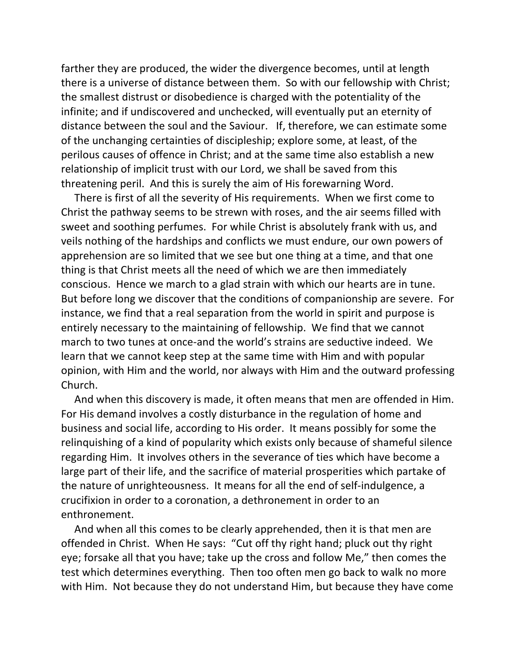farther they are produced, the wider the divergence becomes, until at length there is a universe of distance between them. So with our fellowship with Christ; the smallest distrust or disobedience is charged with the potentiality of the infinite; and if undiscovered and unchecked, will eventually put an eternity of distance between the soul and the Saviour. If, therefore, we can estimate some of the unchanging certainties of discipleship; explore some, at least, of the perilous causes of offence in Christ; and at the same time also establish a new relationship of implicit trust with our Lord, we shall be saved from this threatening peril. And this is surely the aim of His forewarning Word.

 There is first of all the severity of His requirements. When we first come to Christ the pathway seems to be strewn with roses, and the air seems filled with sweet and soothing perfumes. For while Christ is absolutely frank with us, and veils nothing of the hardships and conflicts we must endure, our own powers of apprehension are so limited that we see but one thing at a time, and that one thing is that Christ meets all the need of which we are then immediately conscious. Hence we march to a glad strain with which our hearts are in tune. But before long we discover that the conditions of companionship are severe. For instance, we find that a real separation from the world in spirit and purpose is entirely necessary to the maintaining of fellowship. We find that we cannot march to two tunes at once-and the world's strains are seductive indeed. We learn that we cannot keep step at the same time with Him and with popular opinion, with Him and the world, nor always with Him and the outward professing Church.

 And when this discovery is made, it often means that men are offended in Him. For His demand involves a costly disturbance in the regulation of home and business and social life, according to His order. It means possibly for some the relinquishing of a kind of popularity which exists only because of shameful silence regarding Him. It involves others in the severance of ties which have become a large part of their life, and the sacrifice of material prosperities which partake of the nature of unrighteousness. It means for all the end of self-indulgence, a crucifixion in order to a coronation, a dethronement in order to an enthronement.

 And when all this comes to be clearly apprehended, then it is that men are offended in Christ. When He says: "Cut off thy right hand; pluck out thy right eye; forsake all that you have; take up the cross and follow Me," then comes the test which determines everything. Then too often men go back to walk no more with Him. Not because they do not understand Him, but because they have come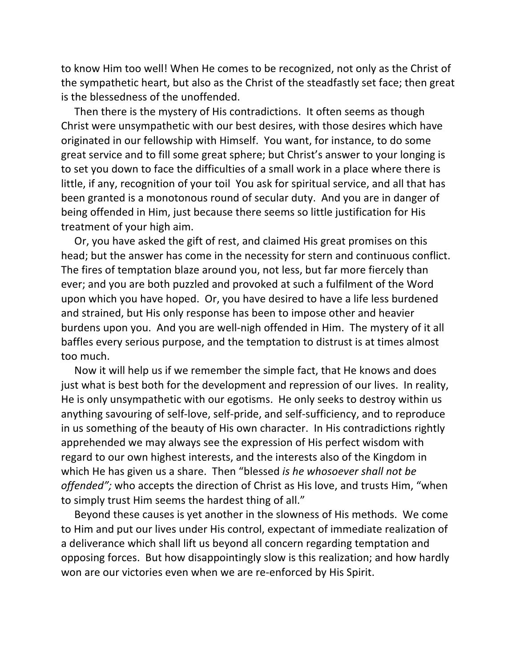to know Him too well! When He comes to be recognized, not only as the Christ of the sympathetic heart, but also as the Christ of the steadfastly set face; then great is the blessedness of the unoffended.

 Then there is the mystery of His contradictions. It often seems as though Christ were unsympathetic with our best desires, with those desires which have originated in our fellowship with Himself. You want, for instance, to do some great service and to fill some great sphere; but Christ's answer to your longing is to set you down to face the difficulties of a small work in a place where there is little, if any, recognition of your toil You ask for spiritual service, and all that has been granted is a monotonous round of secular duty. And you are in danger of being offended in Him, just because there seems so little justification for His treatment of your high aim.

 Or, you have asked the gift of rest, and claimed His great promises on this head; but the answer has come in the necessity for stern and continuous conflict. The fires of temptation blaze around you, not less, but far more fiercely than ever; and you are both puzzled and provoked at such a fulfilment of the Word upon which you have hoped. Or, you have desired to have a life less burdened and strained, but His only response has been to impose other and heavier burdens upon you. And you are well-nigh offended in Him. The mystery of it all baffles every serious purpose, and the temptation to distrust is at times almost too much.

 Now it will help us if we remember the simple fact, that He knows and does just what is best both for the development and repression of our lives. In reality, He is only unsympathetic with our egotisms. He only seeks to destroy within us anything savouring of self-love, self-pride, and self-sufficiency, and to reproduce in us something of the beauty of His own character. In His contradictions rightly apprehended we may always see the expression of His perfect wisdom with regard to our own highest interests, and the interests also of the Kingdom in which He has given us a share. Then "blessed *is he whosoever shall not be offended";* who accepts the direction of Christ as His love, and trusts Him, "when to simply trust Him seems the hardest thing of all."

 Beyond these causes is yet another in the slowness of His methods. We come to Him and put our lives under His control, expectant of immediate realization of a deliverance which shall lift us beyond all concern regarding temptation and opposing forces. But how disappointingly slow is this realization; and how hardly won are our victories even when we are re-enforced by His Spirit.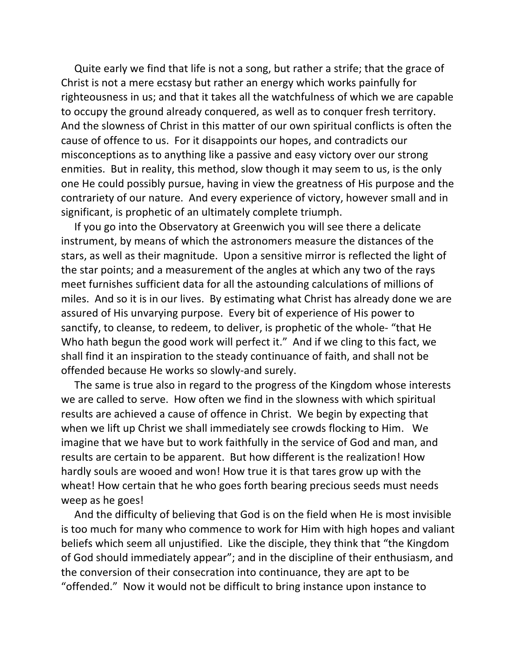Quite early we find that life is not a song, but rather a strife; that the grace of Christ is not a mere ecstasy but rather an energy which works painfully for righteousness in us; and that it takes all the watchfulness of which we are capable to occupy the ground already conquered, as well as to conquer fresh territory. And the slowness of Christ in this matter of our own spiritual conflicts is often the cause of offence to us. For it disappoints our hopes, and contradicts our misconceptions as to anything like a passive and easy victory over our strong enmities. But in reality, this method, slow though it may seem to us, is the only one He could possibly pursue, having in view the greatness of His purpose and the contrariety of our nature. And every experience of victory, however small and in significant, is prophetic of an ultimately complete triumph.

 If you go into the Observatory at Greenwich you will see there a delicate instrument, by means of which the astronomers measure the distances of the stars, as well as their magnitude. Upon a sensitive mirror is reflected the light of the star points; and a measurement of the angles at which any two of the rays meet furnishes sufficient data for all the astounding calculations of millions of miles. And so it is in our lives. By estimating what Christ has already done we are assured of His unvarying purpose. Every bit of experience of His power to sanctify, to cleanse, to redeem, to deliver, is prophetic of the whole- "that He Who hath begun the good work will perfect it." And if we cling to this fact, we shall find it an inspiration to the steady continuance of faith, and shall not be offended because He works so slowly-and surely.

 The same is true also in regard to the progress of the Kingdom whose interests we are called to serve. How often we find in the slowness with which spiritual results are achieved a cause of offence in Christ. We begin by expecting that when we lift up Christ we shall immediately see crowds flocking to Him. We imagine that we have but to work faithfully in the service of God and man, and results are certain to be apparent. But how different is the realization! How hardly souls are wooed and won! How true it is that tares grow up with the wheat! How certain that he who goes forth bearing precious seeds must needs weep as he goes!

 And the difficulty of believing that God is on the field when He is most invisible is too much for many who commence to work for Him with high hopes and valiant beliefs which seem all unjustified. Like the disciple, they think that "the Kingdom of God should immediately appear"; and in the discipline of their enthusiasm, and the conversion of their consecration into continuance, they are apt to be "offended." Now it would not be difficult to bring instance upon instance to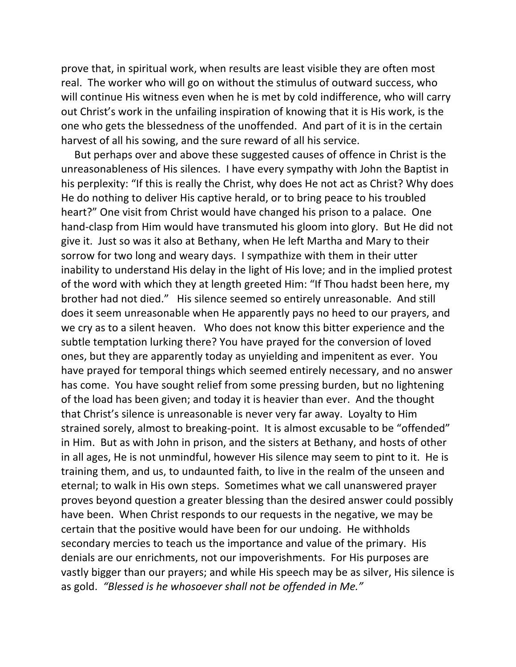prove that, in spiritual work, when results are least visible they are often most real. The worker who will go on without the stimulus of outward success, who will continue His witness even when he is met by cold indifference, who will carry out Christ's work in the unfailing inspiration of knowing that it is His work, is the one who gets the blessedness of the unoffended. And part of it is in the certain harvest of all his sowing, and the sure reward of all his service.

 But perhaps over and above these suggested causes of offence in Christ is the unreasonableness of His silences. I have every sympathy with John the Baptist in his perplexity: "If this is really the Christ, why does He not act as Christ? Why does He do nothing to deliver His captive herald, or to bring peace to his troubled heart?" One visit from Christ would have changed his prison to a palace. One hand-clasp from Him would have transmuted his gloom into glory. But He did not give it. Just so was it also at Bethany, when He left Martha and Mary to their sorrow for two long and weary days. I sympathize with them in their utter inability to understand His delay in the light of His love; and in the implied protest of the word with which they at length greeted Him: "If Thou hadst been here, my brother had not died." His silence seemed so entirely unreasonable. And still does it seem unreasonable when He apparently pays no heed to our prayers, and we cry as to a silent heaven. Who does not know this bitter experience and the subtle temptation lurking there? You have prayed for the conversion of loved ones, but they are apparently today as unyielding and impenitent as ever. You have prayed for temporal things which seemed entirely necessary, and no answer has come. You have sought relief from some pressing burden, but no lightening of the load has been given; and today it is heavier than ever. And the thought that Christ's silence is unreasonable is never very far away. Loyalty to Him strained sorely, almost to breaking-point. It is almost excusable to be "offended" in Him. But as with John in prison, and the sisters at Bethany, and hosts of other in all ages, He is not unmindful, however His silence may seem to pint to it. He is training them, and us, to undaunted faith, to live in the realm of the unseen and eternal; to walk in His own steps. Sometimes what we call unanswered prayer proves beyond question a greater blessing than the desired answer could possibly have been. When Christ responds to our requests in the negative, we may be certain that the positive would have been for our undoing. He withholds secondary mercies to teach us the importance and value of the primary. His denials are our enrichments, not our impoverishments. For His purposes are vastly bigger than our prayers; and while His speech may be as silver, His silence is as gold. *"Blessed is he whosoever shall not be offended in Me."*